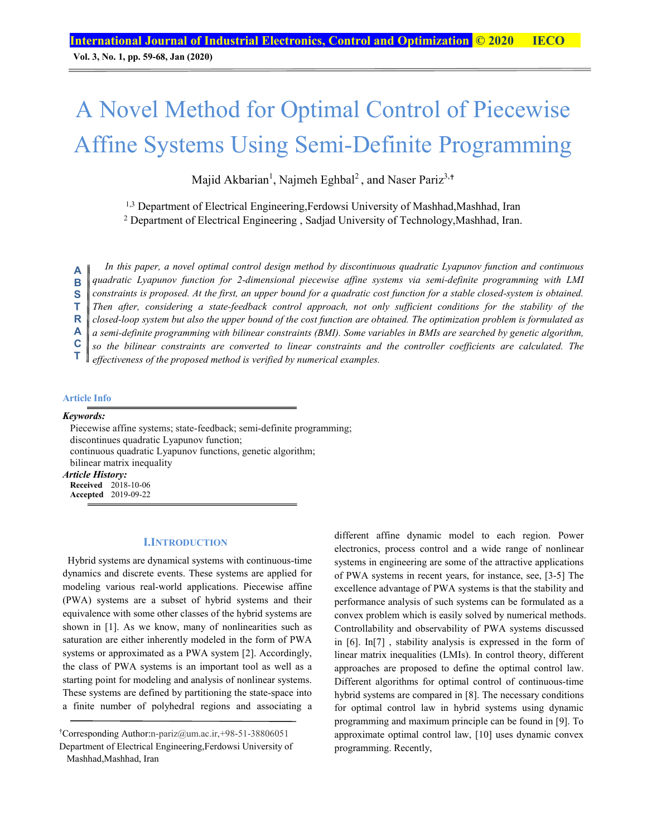**Vol. 3, No. 1, pp. 59-68, Jan (2020)**

# A Novel Method for Optimal Control of Piecewise Affine Systems Using Semi-Definite Programming

Majid Akbarian<sup>1</sup>, Najmeh Eghbal<sup>2</sup>, and Naser Pariz<sup>3,+</sup>

<sup>1,3</sup> Department of Electrical Engineering, Ferdowsi University of Mashhad, Mashhad, Iran

<sup>2</sup> Department of Electrical Engineering, Sadjad University of Technology, Mashhad, Iran.

*In this paper, a novel optimal control design method by discontinuous quadratic Lyapunov function and continuous quadratic Lyapunov function for 2-dimensional piecewise affine systems via semi-definite programming with LMI constraints is proposed. At the first, an upper bound for a quadratic cost function for a stable closed-system is obtained.*  Then after, considering a state-feedback control approach, not only sufficient conditions for the stability of the *closed-loop system but also the upper bound of the cost function are obtained. The optimization problem is formulated as a semi-definite programming with bilinear constraints (BMI). Some variables in BMIs are searched by genetic algorithm, so the bilinear constraints are converted to linear constraints and the controller coefficients are calculated. The effectiveness of the proposed method is verified by numerical examples.*  **A B S T R A C T** 

#### **Article Info**

*Keywords:* 

Piecewise affine systems; state-feedback; semi-definite programming; discontinues quadratic Lyapunov function; continuous quadratic Lyapunov functions, genetic algorithm; bilinear matrix inequality *Article History:*  **Received** 2018-10-06

**Accepted** 2019-09-22

#### **I.INTRODUCTION**

 Hybrid systems are dynamical systems with continuous-time dynamics and discrete events. These systems are applied for modeling various real-world applications. Piecewise affine (PWA) systems are a subset of hybrid systems and their equivalence with some other classes of the hybrid systems are shown in [1]. As we know, many of nonlinearities such as saturation are either inherently modeled in the form of PWA systems or approximated as a PWA system [2]. Accordingly, the class of PWA systems is an important tool as well as a starting point for modeling and analysis of nonlinear systems. These systems are defined by partitioning the state-space into a finite number of polyhedral regions and associating a

different affine dynamic model to each region. Power electronics, process control and a wide range of nonlinear systems in engineering are some of the attractive applications of PWA systems in recent years, for instance, see, [3-5] The excellence advantage of PWA systems is that the stability and performance analysis of such systems can be formulated as a convex problem which is easily solved by numerical methods. Controllability and observability of PWA systems discussed in [6]. In[7] , stability analysis is expressed in the form of linear matrix inequalities (LMIs). In control theory, different approaches are proposed to define the optimal control law. Different algorithms for optimal control of continuous-time hybrid systems are compared in [8]. The necessary conditions for optimal control law in hybrid systems using dynamic programming and maximum principle can be found in [9]. To approximate optimal control law, [10] uses dynamic convex programming. Recently,

<sup>†</sup> Corresponding Author:n-pariz@um.ac.ir,+98-51-38806051 Department of Electrical Engineering,Ferdowsi University of Mashhad, Iran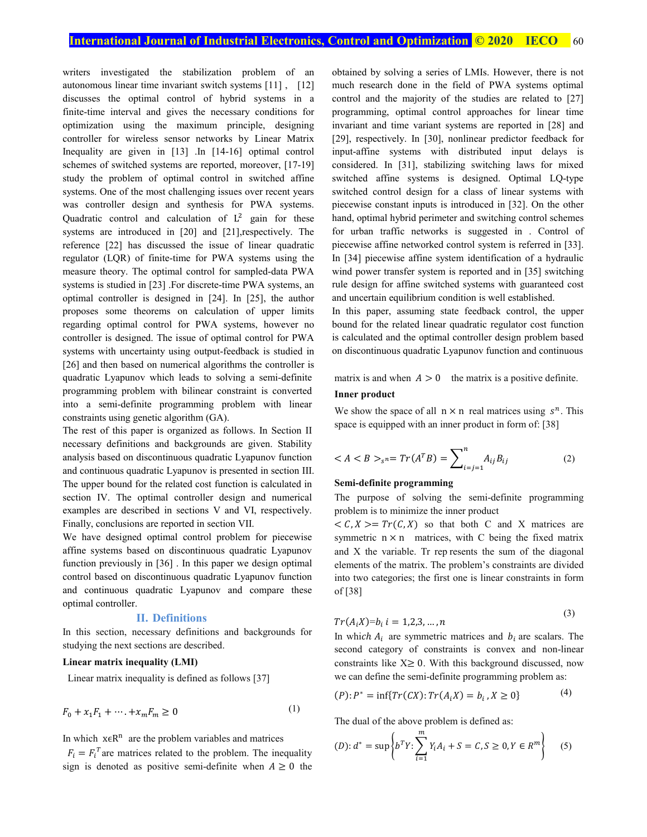writers investigated the stabilization problem of an autonomous linear time invariant switch systems [11] , [12] discusses the optimal control of hybrid systems in a finite-time interval and gives the necessary conditions for optimization using the maximum principle, designing controller for wireless sensor networks by Linear Matrix Inequality are given in [13] .In [14-16] optimal control schemes of switched systems are reported, moreover, [17-19] study the problem of optimal control in switched affine systems. One of the most challenging issues over recent years was controller design and synthesis for PWA systems. Quadratic control and calculation of  $L^2$  gain for these systems are introduced in [20] and [21],respectively. The reference [22] has discussed the issue of linear quadratic regulator (LQR) of finite-time for PWA systems using the measure theory. The optimal control for sampled-data PWA systems is studied in [23] .For discrete-time PWA systems, an optimal controller is designed in [24]. In [25], the author proposes some theorems on calculation of upper limits regarding optimal control for PWA systems, however no controller is designed. The issue of optimal control for PWA systems with uncertainty using output-feedback is studied in [26] and then based on numerical algorithms the controller is quadratic Lyapunov which leads to solving a semi-definite programming problem with bilinear constraint is converted into a semi-definite programming problem with linear constraints using genetic algorithm (GA).

The rest of this paper is organized as follows. In Section II necessary definitions and backgrounds are given. Stability analysis based on discontinuous quadratic Lyapunov function and continuous quadratic Lyapunov is presented in section III. The upper bound for the related cost function is calculated in section IV. The optimal controller design and numerical examples are described in sections V and VI, respectively. Finally, conclusions are reported in section VII.

We have designed optimal control problem for piecewise affine systems based on discontinuous quadratic Lyapunov function previously in [36] . In this paper we design optimal control based on discontinuous quadratic Lyapunov function and continuous quadratic Lyapunov and compare these optimal controller.

# **II. Definitions**

In this section, necessary definitions and backgrounds for studying the next sections are described.

# **Linear matrix inequality (LMI)**

Linear matrix inequality is defined as follows [37]

$$
F_0 + x_1 F_1 + \dots + x_m F_m \ge 0
$$
 (1)

In which  $x \in R^n$  are the problem variables and matrices

 $F_i = F_i^T$  are matrices related to the problem. The inequality sign is denoted as positive semi-definite when  $A \ge 0$  the

obtained by solving a series of LMIs. However, there is not much research done in the field of PWA systems optimal control and the majority of the studies are related to [27] programming, optimal control approaches for linear time invariant and time variant systems are reported in [28] and [29], respectively. In [30], nonlinear predictor feedback for input-affine systems with distributed input delays is considered. In [31], stabilizing switching laws for mixed switched affine systems is designed. Optimal LQ-type switched control design for a class of linear systems with piecewise constant inputs is introduced in [32]. On the other hand, optimal hybrid perimeter and switching control schemes for urban traffic networks is suggested in . Control of piecewise affine networked control system is referred in [33]. In [34] piecewise affine system identification of a hydraulic wind power transfer system is reported and in [35] switching rule design for affine switched systems with guaranteed cost and uncertain equilibrium condition is well established.

In this paper, assuming state feedback control, the upper bound for the related linear quadratic regulator cost function is calculated and the optimal controller design problem based on discontinuous quadratic Lyapunov function and continuous

matrix is and when  $A > 0$  the matrix is a positive definite.

# **Inner product**

We show the space of all  $n \times n$  real matrices using  $s^n$ . This space is equipped with an inner product in form of: [38]

$$
\langle A \langle B \rangle_{s^n} = Tr(A^T B) = \sum_{i=j=1}^n A_{ij} B_{ij} \tag{2}
$$

#### **Semi-definite programming**

The purpose of solving the semi-definite programming problem is to minimize the inner product

 $\langle C, X \rangle = Tr(C, X)$  so that both C and X matrices are symmetric  $n \times n$  matrices, with C being the fixed matrix and X the variable. Tr rep resents the sum of the diagonal elements of the matrix. The problem's constraints are divided into two categories; the first one is linear constraints in form of [38]

$$
Tr(A_i X)=b_i \ i=1,2,3,\dots,n
$$

 $(3)$ 

In which  $A_i$  are symmetric matrices and  $b_i$  are scalars. The second category of constraints is convex and non-linear constraints like  $X \geq 0$ . With this background discussed, now we can define the semi-definite programming problem as:

$$
(P): P^* = \inf \{ Tr(CX) : Tr(A_i X) = b_i \, , X \ge 0 \}
$$
 (4)

The dual of the above problem is defined as:

$$
(D): d^* = \sup \left\{ b^T Y : \sum_{i=1}^m Y_i A_i + S = C, S \ge 0, Y \in R^m \right\} \tag{5}
$$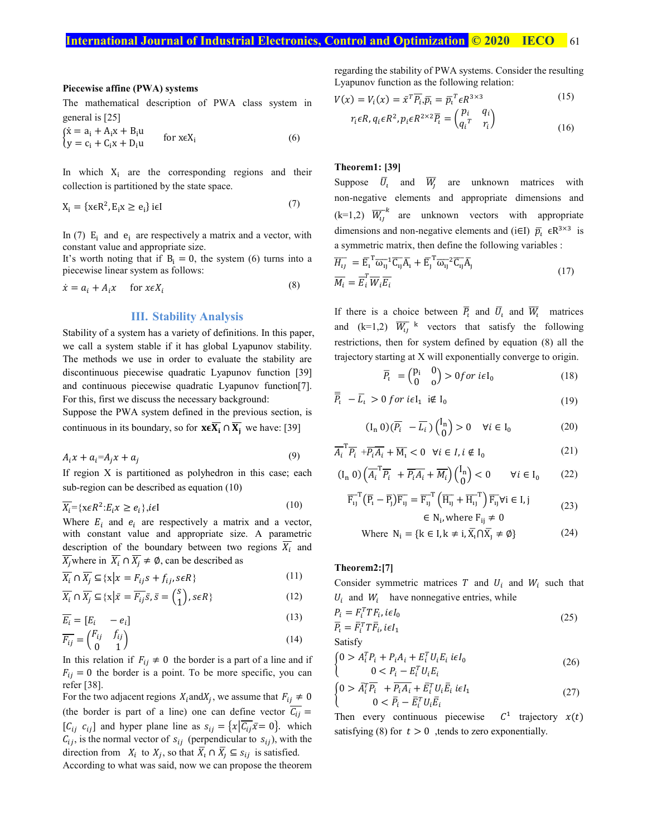#### **Piecewise affine (PWA) systems**

The mathematical description of PWA class system in general is [25]

$$
\begin{cases}\n\dot{x} = a_i + A_i x + B_i u \\
y = c_i + C_i x + D_i u\n\end{cases} \quad \text{for } x \in X_i
$$
\n(6)

In which  $X_i$  are the corresponding regions and their collection is partitioned by the state space.

$$
X_i = \{x \in \mathbb{R}^2, E_i x \ge e_i\} \text{ i} \in I
$$
 (7)

In (7)  $E_i$  and  $e_i$  are respectively a matrix and a vector, with constant value and appropriate size.

It's worth noting that if  $B_i = 0$ , the system (6) turns into a piecewise linear system as follows:

$$
\dot{x} = a_i + A_i x \quad \text{for } x \in X_i \tag{8}
$$

#### **III. Stability Analysis**

Stability of a system has a variety of definitions. In this paper, we call a system stable if it has global Lyapunov stability. The methods we use in order to evaluate the stability are discontinuous piecewise quadratic Lyapunov function [39] and continuous piecewise quadratic Lyapunov function[7]. For this, first we discuss the necessary background:

Suppose the PWA system defined in the previous section, is continuous in its boundary, so for  $x \in \overline{X_i} \cap \overline{X_i}$  we have: [39]

$$
A_i x + a_i = A_j x + a_j \tag{9}
$$

If region X is partitioned as polyhedron in this case; each sub-region can be described as equation (10)

$$
\overline{X_i} = \{ x \in R^2 : E_i x \ge e_i \}, i \in I
$$
\n<sup>(10)</sup>

Where  $E_i$  and  $e_i$  are respectively a matrix and a vector, with constant value and appropriate size. A parametric description of the boundary between two regions  $\overline{X_i}$  and  $\overline{X_i}$  where in  $\overline{X_i} \cap \overline{X_i} \neq \emptyset$ , can be described as

$$
\overline{X_i} \cap \overline{X_j} \subseteq \{x \mid x = F_{ij}s + f_{ij}, s \in R\}
$$
\n<sup>(11)</sup>

$$
\overline{X_i} \cap \overline{X_j} \subseteq \{x \mid \bar{x} = \overline{F_{ij}} \bar{s}, \bar{s} = \begin{pmatrix} s \\ 1 \end{pmatrix}, s \in R\}
$$
\n(12)

$$
\overline{E_i} = [E_i \t - e_i]
$$
\n
$$
\overline{E_i} = \begin{pmatrix} F_{ij} & f_{ij} \end{pmatrix}
$$
\n(13)

$$
\overline{F_{ij}} = \begin{pmatrix} i & j & j \\ 0 & 1 \end{pmatrix} \tag{14}
$$

In this relation if  $F_{ii} \neq 0$  the border is a part of a line and if  $F_{ij} = 0$  the border is a point. To be more specific, you can refer [38].

For the two adjacent regions  $X_i$  and  $X_j$ , we assume that  $F_{ij} \neq 0$ (the border is part of a line) one can define vector  $\overline{C_{ij}}$  =  $[C_{ij} \ c_{ij}]$  and hyper plane line as  $s_{ij} = \{x | \overline{C_{ij}} \overline{x} = 0\}$ . which  $C_{ij}$ , is the normal vector of  $S_{ij}$  (perpendicular to  $S_{ij}$ ), with the direction from  $X_i$  to  $X_j$ , so that  $\overline{X}_i \cap \overline{X}_j \subseteq s_{ij}$  is satisfied.

According to what was said, now we can propose the theorem

regarding the stability of PWA systems. Consider the resulting Lyapunov function as the following relation:

$$
V(x) = V_i(x) = \bar{x}^T \overline{P_i} \cdot \overline{p_i} = \bar{p}_i^T \epsilon R^{3 \times 3}
$$
  
\n
$$
r_i \epsilon R, q_i \epsilon R^2, p_i \epsilon R^{2 \times 2} \overline{P_i} = \begin{pmatrix} p_i & q_i \\ a^T & r_i \end{pmatrix}
$$
 (15)

$$
r_i \epsilon R, q_i \epsilon R^2, p_i \epsilon R^{2 \times 2} \overline{P}_i = \begin{pmatrix} P_i & q_i \\ q_i^T & r_i \end{pmatrix}
$$
 (16)

# **Theorem1: [39]**

Suppose  $\overline{U}_1$  and  $\overline{W}_1$  are unknown matrices with non-negative elements and appropriate dimensions and  $(k=1,2)$   $\overline{W}_{11}^k$  are unknown vectors with appropriate dimensions and non-negative elements and (i∈I)  $\bar{p}_i$   $\in$ R<sup>3×3</sup> is a symmetric matrix, then define the following variables :

$$
\overline{H_{ij}} = \overline{\mathrm{E}}_i^{\mathrm{T}} \overline{\omega_{ij}}^{\mathrm{T}} \overline{\mathrm{C}}_{ij} \overline{\mathrm{A}}_i + \overline{\mathrm{E}}_j^{\mathrm{T}} \overline{\omega_{ij}}^{\mathrm{T}} \overline{\mathrm{C}}_{ij} \overline{\mathrm{A}}_j
$$
\n
$$
\overline{M_i} = \overline{\mathrm{E}}_i^{\mathrm{T}} \overline{W}_i \overline{\mathrm{E}}_i
$$
\n(17)

If there is a choice between  $\overline{P}_i$  and  $\overline{U}_i$  and  $\overline{W}_i$  matrices and  $(k=1,2)$   $\overline{W_{ij}}$  k vectors that satisfy the following restrictions, then for system defined by equation (8) all the trajectory starting at X will exponentially converge to origin.

$$
\overline{P}_t = \begin{pmatrix} P_i & 0 \\ 0 & 0 \end{pmatrix} > 0 \text{ for } i\in I_0 \tag{18}
$$

$$
\overline{\overline{P}}_t - \overline{L}_t > 0 \text{ for } i\in I_1 \text{ if } I_0 \tag{19}
$$

$$
(\mathbf{I}_n \ 0) (\overline{P_i} - \overline{L_i}) \begin{pmatrix} \mathbf{I}_n \\ 0 \end{pmatrix} > 0 \quad \forall i \in \mathbf{I}_0
$$
 (20)

$$
\overline{A_i}^{\mathrm{T}} \overline{P_i} + \overline{P_i A_i} + \overline{M_i} < 0 \quad \forall i \in I, i \notin I_0 \tag{21}
$$

$$
(\mathbf{I}_n \, 0) \left( \overline{A}_i^T \overline{P}_i + \overline{P_i A_i} + \overline{M}_i \right) \begin{pmatrix} \mathbf{I}_n \\ 0 \end{pmatrix} < 0 \qquad \forall i \in \mathbf{I}_0 \tag{22}
$$

$$
\overline{F_{ij}}^T (\overline{P_i} - \overline{P_j}) \overline{F_{ij}} = \overline{F_{ij}}^T (\overline{H_{ij}} + \overline{H_{ij}}^T) \overline{F_{ij}} \forall i \in I, j
$$
\n
$$
\in N_i, \text{ where } F_{ij} \neq 0
$$
\n(23)

Where 
$$
N_i = {k \in I, k \neq i, \overline{X}_i \cap \overline{X}_j \neq \emptyset}
$$
 (24)

# **Theorem2:[7]**

Consider symmetric matrices T and  $U_i$  and  $W_i$  such that  $U_i$  and  $W_i$  have nonnegative entries, while

$$
P_i = F_i^T T F_i, i\epsilon I_0
$$
  
\n
$$
\overline{P}_i = \overline{F}_i^T T \overline{F}_i, i\epsilon I_1
$$
\n(25)

$$
r_i - r_i \, \text{if } r_i,
$$
  
Satisfy

$$
\begin{cases} 0 > A_i^T P_i + P_i A_i + E_i^T U_i E_i \ i\epsilon I_0 \\ 0 < P_i - E_i^T U_i E_i \end{cases} \tag{26}
$$

$$
\begin{cases} 0 > \overline{A_i^T} \overline{P_i} + \overline{P_i A_i} + \overline{E}_i^T U_i \overline{E}_i \ i\epsilon I_1 \\ 0 < \overline{P_i} - \overline{E}_i^T U_i \overline{E}_i \end{cases} \tag{27}
$$

Then every continuous piecewise  $C^1$  trajectory  $x(t)$ satisfying (8) for  $t > 0$ , tends to zero exponentially.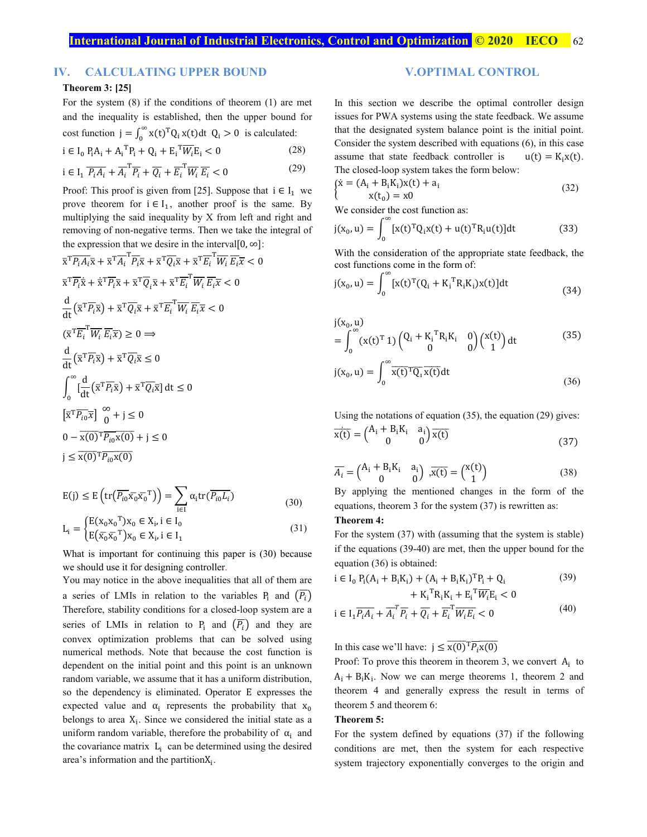# **IV. CALCULATING UPPER BOUND**

### **Theorem 3: [25]**

For the system (8) if the conditions of theorem (1) are met and the inequality is established, then the upper bound for cost function  $j = \int_0^\infty x(t)^T Q_i x(t) dt$   $Q_i > 0$  is calculated:

$$
i \in I_0 P_i A_i + A_i^T P_i + Q_i + E_i^T \overline{W_i} E_i < 0 \tag{28}
$$

$$
i \in I_1 \overline{P_i A_i} + \overline{A_i}^T \overline{P_i} + \overline{Q_i} + \overline{E_i}^T \overline{W_i} \overline{E_i} < 0 \tag{29}
$$

Proof: This proof is given from [25]. Suppose that  $i \in I_1$  we prove theorem for  $i \in I_1$ , another proof is the same. By multiplying the said inequality by X from left and right and removing of non-negative terms. Then we take the integral of the expression that we desire in the interval[0,  $\infty$ ]:

$$
\overline{x}^{\mathrm{T}}\overline{P_{\mathrm{t}}A_{\mathrm{t}}}\overline{x} + \overline{x}^{\mathrm{T}}\overline{A_{\mathrm{t}}}}^{\mathrm{T}}\overline{P_{\mathrm{t}}}\overline{x} + \overline{x}^{\mathrm{T}}\overline{Q_{\mathrm{t}}}\overline{x} + \overline{x}^{\mathrm{T}}\overline{E_{\mathrm{t}}}}^{\mathrm{T}}\overline{W_{\mathrm{t}}}\overline{E_{\mathrm{t}}}\overline{x} < 0
$$
\n
$$
\overline{x}^{\mathrm{T}}\overline{P_{\mathrm{t}}}\dot{\overline{x}} + \dot{\overline{x}}^{\mathrm{T}}\overline{P_{\mathrm{t}}}\overline{x} + \overline{x}^{\mathrm{T}}\overline{Q_{\mathrm{t}}}\overline{x} + \overline{x}^{\mathrm{T}}\overline{E_{\mathrm{t}}}}^{\mathrm{T}}\overline{W_{\mathrm{t}}}\overline{E_{\mathrm{t}}}\overline{x} < 0
$$
\n
$$
\frac{d}{dt}(\overline{x}^{\mathrm{T}}\overline{P_{\mathrm{t}}}\overline{x}) + \overline{x}^{\mathrm{T}}\overline{Q_{\mathrm{t}}}\overline{x} + \overline{x}^{\mathrm{T}}\overline{E_{\mathrm{t}}}}^{\mathrm{T}}\overline{W_{\mathrm{t}}}\overline{E_{\mathrm{t}}}\overline{x} < 0
$$
\n
$$
(\overline{x}^{\mathrm{T}}\overline{E_{\mathrm{t}}}}^{\mathrm{T}}\overline{W_{\mathrm{t}}}\overline{E_{\mathrm{t}}}\overline{x}) \ge 0 \implies
$$
\n
$$
\frac{d}{dt}(\overline{x}^{\mathrm{T}}\overline{P_{\mathrm{t}}}\overline{x}) + \overline{x}^{\mathrm{T}}\overline{Q_{\mathrm{t}}}\overline{x} \le 0
$$
\n
$$
\int_{0}^{\infty}[\frac{d}{dt}(\overline{x}^{\mathrm{T}}\overline{P_{\mathrm{t}}}\overline{x}) + \overline{x}^{\mathrm{T}}\overline{Q_{\mathrm{t}}}\overline{x}] dt \le 0
$$
\n
$$
[\overline{x}^{\mathrm{T}}\overline{P_{\mathrm{t}}}\overline{x}] \Big|_{0}^{\infty} + j \le 0
$$
\n
$$
0 - \overline{x(0)^{\mathrm{T}}\overline{P_{\mathrm{t
$$

$$
E(j) \le E\left(\text{tr}(\overline{P_{io}}\overline{x_o}\overline{x_o}^T)\right) = \sum_{i \in I} \alpha_i \text{tr}(\overline{P_{io}L_i})
$$
(30)

$$
L_{i} = \begin{cases} E(x_{0}x_{0}^{T})x_{0} \in X_{i}, i \in I_{0} \\ E(\bar{x_{0}}\bar{x_{0}}^{T})x_{0} \in X_{i}, i \in I_{1} \end{cases}
$$
(31)

What is important for continuing this paper is (30) because we should use it for designing controller.

You may notice in the above inequalities that all of them are a series of LMIs in relation to the variables  $P_i$  and  $(P_i)$ Therefore, stability conditions for a closed-loop system are a series of LMIs in relation to  $P_i$  and  $(P_i)$  and they are convex optimization problems that can be solved using numerical methods. Note that because the cost function is dependent on the initial point and this point is an unknown random variable, we assume that it has a uniform distribution, so the dependency is eliminated. Operator E expresses the expected value and  $\alpha_i$  represents the probability that  $x_0$ belongs to area  $X_i$ . Since we considered the initial state as a uniform random variable, therefore the probability of  $\alpha_i$  and the covariance matrix  $L_i$  can be determined using the desired area's information and the partition $X_i$ .

# **V.OPTIMAL CONTROL**

In this section we describe the optimal controller design issues for PWA systems using the state feedback. We assume that the designated system balance point is the initial point. Consider the system described with equations (6), in this case assume that state feedback controller is  $u(t) = K_i x(t)$ . The closed-loop system takes the form below:

$$
\begin{cases} \n\dot{x} = (A_i + B_i K_i)x(t) + a_i \\
x(t_0) = x0\n\end{cases}
$$
\n(32)

We consider the cost function as:

$$
j(x_0, u) = \int_0^\infty [x(t)^T Q_i x(t) + u(t)^T R_i u(t)] dt
$$
 (33)

With the consideration of the appropriate state feedback, the cost functions come in the form of:

$$
j(x_0, u) = \int_0^\infty [x(t)^T (Q_i + K_i^T R_i K_i) x(t)] dt
$$
\n(34)

$$
j(x_0, u)
$$
  
=  $\int_0^{\infty} (x(t)^T 1) \begin{pmatrix} Q_i + K_i^T R_i K_i & 0 \\ 0 & 0 \end{pmatrix} \begin{pmatrix} x(t) \\ 1 \end{pmatrix} dt$  (35)

$$
j(x_0, u) = \int_0^\infty \overline{x(t)^T Q_1} \overline{x(t)} dt
$$
\n(36)

Using the notations of equation (35), the equation (29) gives:  $\overline{x(t)} = \begin{pmatrix} A_i + B_i K_i & a_i \\ 0 & 0 \end{pmatrix} \overline{x(t)}$  (37)

$$
\overline{A_i} = \begin{pmatrix} A_i + B_i K_i & a_i \\ 0 & 0 \end{pmatrix}, \overline{x(t)} = \begin{pmatrix} x(t) \\ 1 \end{pmatrix}
$$
\n(38)

By applying the mentioned changes in the form of the equations, theorem 3 for the system (37) is rewritten as:

### **Theorem 4:**

For the system (37) with (assuming that the system is stable) if the equations (39-40) are met, then the upper bound for the equation (36) is obtained:

$$
i \in I_0 P_i(A_i + B_i K_i) + (A_i + B_i K_i)^T P_i + Q_i
$$
  
+  $K_i^T R_i K_i + E_i^T \overline{W_i} E_i < 0$  (39)

$$
i \in I_1 \overline{P_i A_i} + \overline{A_i}^T \overline{P_i} + \overline{Q_i} + \overline{E_i}^T \overline{W_i E_i} < 0 \tag{40}
$$

In this case we'll have:  $j \leq x(0)^T \overline{P_i x(0)}$ 

Proof: To prove this theorem in theorem 3, we convert  $A_i$  to  $A_i + B_i K_i$ . Now we can merge theorems 1, theorem 2 and theorem 4 and generally express the result in terms of theorem 5 and theorem 6:

#### **Theorem 5:**

For the system defined by equations (37) if the following conditions are met, then the system for each respective system trajectory exponentially converges to the origin and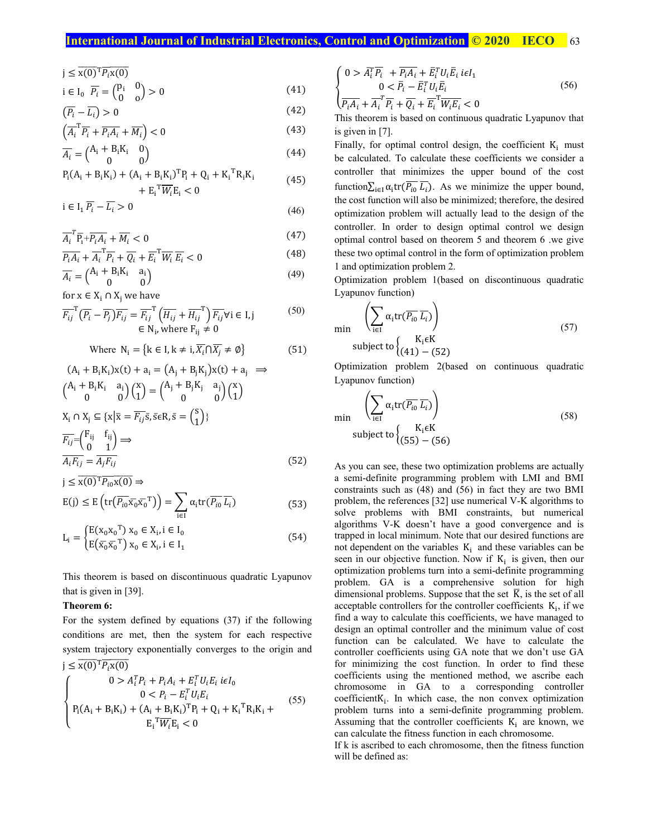# **International Journal of Industrial Electronics, Control and Optimization <b>C** 2020 IECO 63

 $j \leq x(0)$ <sup>T</sup> $\overline{P_i}$  $x(0)$ 

$$
i \in I_0 \quad \overline{P_i} = \begin{pmatrix} p_i & 0 \\ 0 & 0 \end{pmatrix} > 0 \tag{41}
$$

$$
\left(\overline{P_i} - \overline{L_i}\right) > 0\tag{42}
$$

$$
\left(\overline{A_i}^{\mathrm{T}} \overline{P_i} + \overline{P_i A_i} + \overline{M_i}\right) < 0\tag{43}
$$

$$
\overline{A_i} = \begin{pmatrix} A_i + B_i K_i & 0 \\ 0 & 0 \end{pmatrix}
$$
 (44)

$$
P_i(A_i + B_iK_i) + (A_i + B_iK_i)^T P_i + Q_i + K_i^T R_iK_i
$$
  
+ E<sub>i</sub><sup>T</sup> $\overline{W_i}$ E<sub>i</sub> < 0 (45)

$$
i \in I_1 \overline{P_i} - \overline{L_i} > 0 \tag{46}
$$

$$
\overline{A_i}^T \overline{P_i} + \overline{P_i A_i} + \overline{M_i} < 0 \tag{47}
$$

$$
\overline{P_i A_i} + \overline{A_i}^{\mathrm{T}} \overline{P_i} + \overline{Q_i} + \overline{E_i}^{\mathrm{T}} \overline{W_i} \overline{E_i} < 0 \tag{48}
$$

$$
\overline{A_i} = \begin{pmatrix} A_i + B_i K_i & a_i \\ 0 & 0 \end{pmatrix}
$$
 (49)

for 
$$
x \in X_i \cap X_j
$$
 we have

$$
\overline{F_{ij}}^{\mathrm{T}}(\overline{P_i} - \overline{P_j}) \overline{F_{ij}} = \overline{F_{ij}}^{\mathrm{T}} \left( \overline{H_{ij}} + \overline{H_{ij}}^{\mathrm{T}} \right) \overline{F_{ij}} \forall i \in I, j
$$
\n
$$
\in \mathbb{N}_i, \text{where } F_{ij} \neq 0
$$
\n(50)

Where 
$$
N_i = \{k \in I, k \neq i, \overline{X_i} \cap \overline{X_j} \neq \emptyset\}
$$
 (51)

$$
(A_i + B_i K_i)x(t) + a_i = (A_j + B_j K_j)x(t) + a_j \implies
$$
  
\n
$$
\begin{pmatrix} A_i + B_i K_i & a_i \\ 0 & 0 \end{pmatrix} \begin{pmatrix} x \\ 1 \end{pmatrix} = \begin{pmatrix} A_j + B_j K_j & a_j \\ 0 & 0 \end{pmatrix} \begin{pmatrix} x \\ 1 \end{pmatrix}
$$
  
\n
$$
X_i \cap X_j \subseteq \{x | \overline{x} = \overline{F_{ij}} \overline{s}, \overline{s} \in R, \overline{s} = \begin{pmatrix} s \\ 1 \end{pmatrix} \}
$$
  
\n
$$
\overline{F_{ij}} = \begin{pmatrix} F_{ij} & f_{ij} \\ 0 & 1 \end{pmatrix} \implies
$$
  
\n
$$
\overline{A_i F_{ij}} = \overline{A_j F_{ij}}
$$
 (52)

$$
j \leq \overline{x(0)}^T \overline{P_{i0} x(0)} \Rightarrow
$$
  
\n
$$
E(j) \leq E \left( tr(\overline{P_{i0} x_0} \overline{x_0}^T) \right) = \sum_{i \in I} \alpha_i tr(\overline{P_{i0} L_i})
$$
\n(53)

$$
L_{i} = \begin{cases} E(x_{0}x_{0}^{T}) \ x_{0} \in X_{i}, i \in I_{0} \\ E(\overline{x_{0}}\overline{x_{0}}^{T}) \ x_{0} \in X_{i}, i \in I_{1} \end{cases}
$$
(54)

This theorem is based on discontinuous quadratic Lyapunov that is given in [39].

# **Theorem 6:**

For the system defined by equations (37) if the following conditions are met, then the system for each respective system trajectory exponentially converges to the origin and  $i < \overline{x(0)}^T P_{i} x(0)$ 

$$
\begin{cases}\n0 > A_i^T P_i + P_i A_i + E_i^T U_i E_i \text{ } i\epsilon I_0 \\
0 < P_i - E_i^T U_i E_i \\
P_i(A_i + B_i K_i) + (A_i + B_i K_i)^T P_i + Q_i + K_i^T R_i K_i + E_i^T W_i E_i\n\end{cases} \tag{55}
$$

$$
\begin{cases}\n0 > \overline{A_i^T} \overline{P_i} + \overline{P_i A_i} + \overline{E_i^T} U_i \overline{E_i} \, i\epsilon I_1 \\
0 < \overline{P_i} - \overline{E_i^T} U_i \overline{E_i} \\
\overline{P_i A_i} + \overline{A_i^T} \overline{P_i} + \overline{Q_i} + \overline{E_i^T} \overline{W_i E_i} < 0\n\end{cases} \tag{56}
$$

This theorem is based on continuous quadratic Lyapunov that is given in [7].

Finally, for optimal control design, the coefficient  $K_i$  must be calculated. To calculate these coefficients we consider a controller that minimizes the upper bound of the cost function $\sum_{i \in I} \alpha_i \text{tr}(\overline{P_{i0} L_i})$ . As we minimize the upper bound, the cost function will also be minimized; therefore, the desired optimization problem will actually lead to the design of the controller. In order to design optimal control we design optimal control based on theorem 5 and theorem 6 .we give these two optimal control in the form of optimization problem 1 and optimization problem 2.

Optimization problem 1(based on discontinuous quadratic Lyapunov function)

$$
\min \left( \sum_{i \in I} \alpha_i \text{tr}(\overline{P_{i0}} \overline{L_i}) \right)
$$
\n
$$
\text{subject to } \begin{cases} K_i \in K \\ (41) - (52) \end{cases}
$$
\n
$$
(57)
$$

Optimization problem 2(based on continuous quadratic Lyapunov function)

$$
\min \left( \sum_{i \in I} \alpha_i \text{tr}(\overline{P_{i0}} \overline{L_i}) \right)
$$
\n
$$
\text{subject to} \left\{ K_i \in K \atop (55) - (56) \right\} \tag{58}
$$

As you can see, these two optimization problems are actually a semi-definite programming problem with LMI and BMI constraints such as (48) and (56) in fact they are two BMI problem, the references [32] use numerical V-K algorithms to solve problems with BMI constraints, but numerical algorithms V-K doesn't have a good convergence and is trapped in local minimum. Note that our desired functions are not dependent on the variables  $K_i$  and these variables can be seen in our objective function. Now if  $K_i$  is given, then our optimization problems turn into a semi-definite programming problem. GA is a comprehensive solution for high dimensional problems. Suppose that the set  $\overline{K}$ , is the set of all acceptable controllers for the controller coefficients  $K_i$ , if we find a way to calculate this coefficients, we have managed to design an optimal controller and the minimum value of cost function can be calculated. We have to calculate the controller coefficients using GA note that we don't use GA for minimizing the cost function. In order to find these coefficients using the mentioned method, we ascribe each chromosome in GA to a corresponding controller  $coefficientK<sub>i</sub>$ . In which case, the non convex optimization problem turns into a semi-definite programming problem. Assuming that the controller coefficients  $K_i$  are known, we can calculate the fitness function in each chromosome.

If k is ascribed to each chromosome, then the fitness function will be defined as: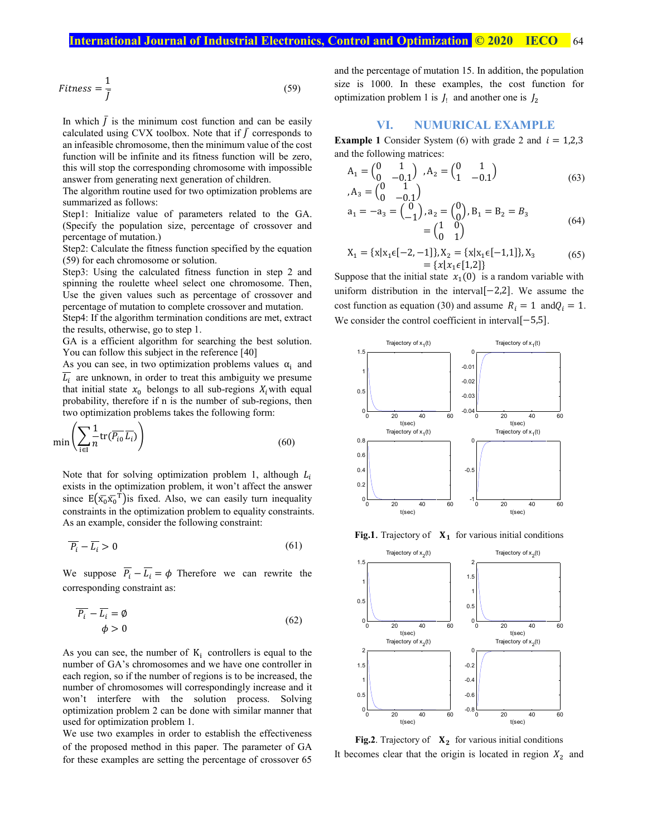$$
Fitness = \frac{1}{\bar{f}}
$$
\n(59)

In which  $\bar{J}$  is the minimum cost function and can be easily calculated using CVX toolbox. Note that if  $\bar{J}$  corresponds to an infeasible chromosome, then the minimum value of the cost function will be infinite and its fitness function will be zero, this will stop the corresponding chromosome with impossible answer from generating next generation of children.

The algorithm routine used for two optimization problems are summarized as follows:

Step1: Initialize value of parameters related to the GA. (Specify the population size, percentage of crossover and percentage of mutation.)

Step2: Calculate the fitness function specified by the equation (59) for each chromosome or solution.

Step3: Using the calculated fitness function in step 2 and spinning the roulette wheel select one chromosome. Then, Use the given values such as percentage of crossover and percentage of mutation to complete crossover and mutation.

Step4: If the algorithm termination conditions are met, extract the results, otherwise, go to step 1.

GA is a efficient algorithm for searching the best solution. You can follow this subject in the reference [40]

As you can see, in two optimization problems values  $\alpha_i$  and  $\overline{L_i}$  are unknown, in order to treat this ambiguity we presume that initial state  $x_0$  belongs to all sub-regions  $X_i$  with equal probability, therefore if n is the number of sub-regions, then two optimization problems takes the following form:

$$
\min\left(\sum_{i\in I} \frac{1}{n} \text{tr}(\overline{P_{i0}} \, \overline{L_i})\right) \tag{60}
$$

Note that for solving optimization problem 1, although  $L_i$ exists in the optimization problem, it won't affect the answer since  $E(\bar{x_0}\bar{x_0}^T)$  is fixed. Also, we can easily turn inequality constraints in the optimization problem to equality constraints. As an example, consider the following constraint:

$$
\overline{P_i} - \overline{L_i} > 0 \tag{61}
$$

We suppose  $\overline{P_i} - \overline{L_i} = \phi$  Therefore we can rewrite the corresponding constraint as:

$$
\overline{P_i} - \overline{L_i} = \emptyset
$$
  
\n
$$
\phi > 0
$$
\n(62)

As you can see, the number of  $K_i$  controllers is equal to the number of GA's chromosomes and we have one controller in each region, so if the number of regions is to be increased, the number of chromosomes will correspondingly increase and it won't interfere with the solution process. Solving optimization problem 2 can be done with similar manner that used for optimization problem 1.

We use two examples in order to establish the effectiveness of the proposed method in this paper. The parameter of GA for these examples are setting the percentage of crossover 65 and the percentage of mutation 15. In addition, the population size is 1000. In these examples, the cost function for optimization problem 1 is  $J_1$  and another one is  $J_2$ 

# **VI. NUMURICAL EXAMPLE**

**Example 1** Consider System (6) with grade 2 and  $i = 1,2,3$ and the following matrices:

$$
A_1 = \begin{pmatrix} 0 & 1 \\ 0 & -0.1 \end{pmatrix}, A_2 = \begin{pmatrix} 0 & 1 \\ 1 & -0.1 \end{pmatrix}
$$
  
, 
$$
A_3 = \begin{pmatrix} 0 & 1 \\ 0 & 0.1 \end{pmatrix}
$$
 (63)

$$
a_1 = -a_3 = \begin{pmatrix} 0 & -0.1 \\ 0 & 0 \end{pmatrix}, a_2 = \begin{pmatrix} 0 \\ 0 \end{pmatrix}, B_1 = B_2 = B_3
$$
  
= 
$$
\begin{pmatrix} 1 & 0 \\ 0 & 1 \end{pmatrix}
$$
 (64)

$$
X_1 = \{x | x_1 \in [-2, -1] \}, X_2 = \{x | x_1 \in [-1, 1] \}, X_3
$$
  
= \{x | x\_1 \in [1, 2] \} (65)

Suppose that the initial state  $x_1(0)$  is a random variable with uniform distribution in the interval[−2,2]. We assume the cost function as equation (30) and assume  $R_i = 1$  and  $Q_i = 1$ . We consider the control coefficient in interval[−5,5].



**Fig.1**. Trajectory of  $X_1$  for various initial conditions



**Fig.2**. Trajectory of  $X_2$  for various initial conditions It becomes clear that the origin is located in region  $X_2$  and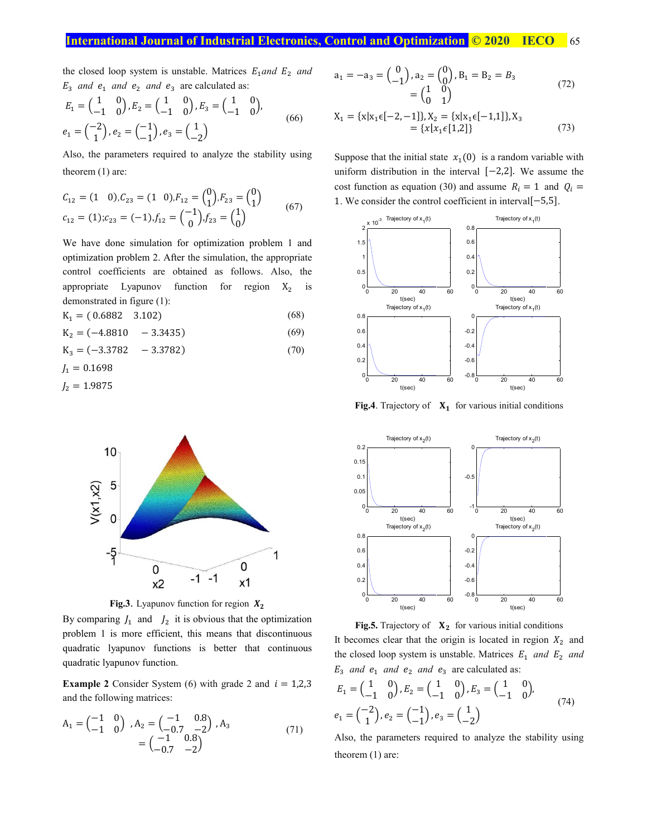the closed loop system is unstable. Matrices  $E_1$  and  $E_2$  and  $E_3$  and  $e_1$  and  $e_2$  and  $e_3$  are calculated as:

$$
E_1 = \begin{pmatrix} 1 & 0 \\ -1 & 0 \end{pmatrix}, E_2 = \begin{pmatrix} 1 & 0 \\ -1 & 0 \end{pmatrix}, E_3 = \begin{pmatrix} 1 & 0 \\ -1 & 0 \end{pmatrix},
$$
  

$$
e_1 = \begin{pmatrix} -2 \\ 1 \end{pmatrix}, e_2 = \begin{pmatrix} -1 \\ -1 \end{pmatrix}, e_3 = \begin{pmatrix} 1 \\ -2 \end{pmatrix}
$$
 (66)

Also, the parameters required to analyze the stability using theorem (1) are:

$$
C_{12} = (1 \ 0), C_{23} = (1 \ 0), F_{12} = {0 \choose 1}, F_{23} = {0 \choose 1}
$$
  
\n
$$
C_{12} = (1); C_{23} = (-1), f_{12} = {1 \choose 0}, f_{23} = {1 \choose 0}
$$
 (67)

We have done simulation for optimization problem 1 and optimization problem 2. After the simulation, the appropriate control coefficients are obtained as follows. Also, the appropriate Lyapunov function for region  $X_2$  is demonstrated in figure (1):

 $K_1 = (0.6882 \t 3.102)$  (68)

$$
K_2 = (-4.8810 - 3.3435)
$$
 (69)

$$
K_3 = (-3.3782 - 3.3782) \tag{70}
$$

$$
J_1=0.1698
$$

$$
J_2=1.9875
$$



**Fig.3**. Lyapunov function for region  $X_2$ 

By comparing  $J_1$  and  $J_2$  it is obvious that the optimization problem 1 is more efficient, this means that discontinuous quadratic lyapunov functions is better that continuous quadratic lyapunov function.

**Example 2** Consider System (6) with grade 2 and  $i = 1,2,3$ and the following matrices:

$$
A_1 = \begin{pmatrix} -1 & 0 \\ -1 & 0 \end{pmatrix}, A_2 = \begin{pmatrix} -1 & 0.8 \\ -0.7 & -2 \end{pmatrix}, A_3
$$
  
= 
$$
\begin{pmatrix} -1 & 0.8 \\ -0.7 & -2 \end{pmatrix}
$$
 (71)

$$
a_1 = -a_3 = \begin{pmatrix} 0 \\ -1 \end{pmatrix}, a_2 = \begin{pmatrix} 0 \\ 0 \end{pmatrix}, B_1 = B_2 = B_3
$$
  
= 
$$
\begin{pmatrix} 1 & 0 \\ 0 & 1 \end{pmatrix}
$$
 (72)

$$
X_1 = \{x | x_1 \in [-2, -1] \}, X_2 = \{x | x_1 \in [-1, 1] \}, X_3
$$
  
= \{x | x\_1 \in [1, 2] \} (73)

Suppose that the initial state  $x_1(0)$  is a random variable with uniform distribution in the interval [−2,2]. We assume the cost function as equation (30) and assume  $R_i = 1$  and  $Q_i =$ 1. We consider the control coefficient in interval[−5,5].



**Fig.4**. Trajectory of  $X_1$  for various initial conditions



**Fig.5.** Trajectory of  $X_2$  for various initial conditions It becomes clear that the origin is located in region  $X_2$  and the closed loop system is unstable. Matrices  $E_1$  and  $E_2$  and  $E_3$  and  $e_1$  and  $e_2$  and  $e_3$  are calculated as:

$$
E_1 = \begin{pmatrix} 1 & 0 \\ -1 & 0 \end{pmatrix}, E_2 = \begin{pmatrix} 1 & 0 \\ -1 & 0 \end{pmatrix}, E_3 = \begin{pmatrix} 1 & 0 \\ -1 & 0 \end{pmatrix},
$$
  
\n
$$
e_1 = \begin{pmatrix} -2 \\ 1 \end{pmatrix}, e_2 = \begin{pmatrix} -1 \\ -1 \end{pmatrix}, e_3 = \begin{pmatrix} 1 \\ -2 \end{pmatrix}
$$
 (74)

Also, the parameters required to analyze the stability using theorem (1) are: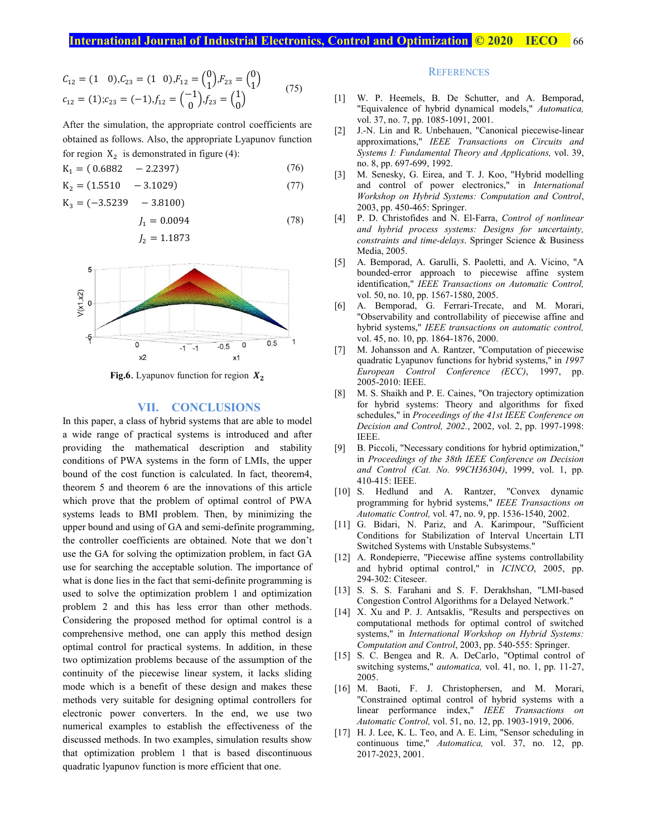$$
C_{12} = (1 \ 0), C_{23} = (1 \ 0), F_{12} = \begin{pmatrix} 0 \\ 1 \end{pmatrix}, F_{23} = \begin{pmatrix} 0 \\ 1 \end{pmatrix}
$$
  
\n
$$
c_{12} = (1); c_{23} = (-1), f_{12} = \begin{pmatrix} -1 \\ 0 \end{pmatrix}, f_{23} = \begin{pmatrix} 1 \\ 0 \end{pmatrix}
$$
 (75)

After the simulation, the appropriate control coefficients are obtained as follows. Also, the appropriate Lyapunov function for region  $X_2$  is demonstrated in figure (4):

$$
K_1 = (0.6882 - 2.2397) \tag{76}
$$

$$
K_2 = (1.5510 - 3.1029) \tag{77}
$$

 $K_3 = (-3.5239 - 3.8100)$ 

$$
J_1 = 0.0094
$$
\n
$$
J_2 = 1.1873
$$
\n(78)



**Fig.6**. Lyapunov function for region  $X_2$ 

#### **VII. CONCLUSIONS**

In this paper, a class of hybrid systems that are able to model a wide range of practical systems is introduced and after providing the mathematical description and stability conditions of PWA systems in the form of LMIs, the upper bound of the cost function is calculated. In fact, theorem4, theorem 5 and theorem 6 are the innovations of this article which prove that the problem of optimal control of PWA systems leads to BMI problem. Then, by minimizing the upper bound and using of GA and semi-definite programming, the controller coefficients are obtained. Note that we don't use the GA for solving the optimization problem, in fact GA use for searching the acceptable solution. The importance of what is done lies in the fact that semi-definite programming is used to solve the optimization problem 1 and optimization problem 2 and this has less error than other methods. Considering the proposed method for optimal control is a comprehensive method, one can apply this method design optimal control for practical systems. In addition, in these two optimization problems because of the assumption of the continuity of the piecewise linear system, it lacks sliding mode which is a benefit of these design and makes these methods very suitable for designing optimal controllers for electronic power converters. In the end, we use two numerical examples to establish the effectiveness of the discussed methods. In two examples, simulation results show that optimization problem 1 that is based discontinuous quadratic lyapunov function is more efficient that one.

#### **REFERENCES**

- [1] W. P. Heemels, B. De Schutter, and A. Bemporad, "Equivalence of hybrid dynamical models," *Automatica,*  vol. 37, no. 7, pp. 1085-1091, 2001.
- [2] J.-N. Lin and R. Unbehauen, "Canonical piecewise-linear approximations," *IEEE Transactions on Circuits and Systems I: Fundamental Theory and Applications,* vol. 39, no. 8, pp. 697-699, 1992.
- [3] M. Senesky, G. Eirea, and T. J. Koo, "Hybrid modelling and control of power electronics," in *International Workshop on Hybrid Systems: Computation and Control*, 2003, pp. 450-465: Springer.
- [4] P. D. Christofides and N. El-Farra, *Control of nonlinear and hybrid process systems: Designs for uncertainty, constraints and time-delays*. Springer Science & Business Media, 2005.
- [5] A. Bemporad, A. Garulli, S. Paoletti, and A. Vicino, "A bounded-error approach to piecewise affine system identification," *IEEE Transactions on Automatic Control,*  vol. 50, no. 10, pp. 1567-1580, 2005.
- [6] A. Bemporad, G. Ferrari-Trecate, and M. Morari, "Observability and controllability of piecewise affine and hybrid systems," *IEEE transactions on automatic control,*  vol. 45, no. 10, pp. 1864-1876, 2000.
- [7] M. Johansson and A. Rantzer, "Computation of piecewise quadratic Lyapunov functions for hybrid systems," in *1997 European Control Conference (ECC)*, 1997, pp. 2005-2010: IEEE.
- [8] M. S. Shaikh and P. E. Caines, "On trajectory optimization for hybrid systems: Theory and algorithms for fixed schedules," in *Proceedings of the 41st IEEE Conference on Decision and Control, 2002.*, 2002, vol. 2, pp. 1997-1998: IEEE.
- [9] B. Piccoli, "Necessary conditions for hybrid optimization," in *Proceedings of the 38th IEEE Conference on Decision and Control (Cat. No. 99CH36304)*, 1999, vol. 1, pp. 410-415: IEEE.
- [10] S. Hedlund and A. Rantzer, "Convex dynamic programming for hybrid systems," *IEEE Transactions on Automatic Control,* vol. 47, no. 9, pp. 1536-1540, 2002.
- [11] G. Bidari, N. Pariz, and A. Karimpour, "Sufficient Conditions for Stabilization of Interval Uncertain LTI Switched Systems with Unstable Subsystems."
- [12] A. Rondepierre, "Piecewise affine systems controllability and hybrid optimal control," in *ICINCO*, 2005, pp. 294-302: Citeseer.
- [13] S. S. S. Farahani and S. F. Derakhshan, "LMI-based Congestion Control Algorithms for a Delayed Network."
- [14] X. Xu and P. J. Antsaklis, "Results and perspectives on computational methods for optimal control of switched systems," in *International Workshop on Hybrid Systems: Computation and Control*, 2003, pp. 540-555: Springer.
- [15] S. C. Bengea and R. A. DeCarlo, "Optimal control of switching systems," *automatica,* vol. 41, no. 1, pp. 11-27, 2005.
- [16] M. Baoti, F. J. Christophersen, and M. Morari, "Constrained optimal control of hybrid systems with a linear performance index," *IEEE Transactions on Automatic Control,* vol. 51, no. 12, pp. 1903-1919, 2006.
- [17] H. J. Lee, K. L. Teo, and A. E. Lim, "Sensor scheduling in continuous time," *Automatica,* vol. 37, no. 12, pp. 2017-2023, 2001.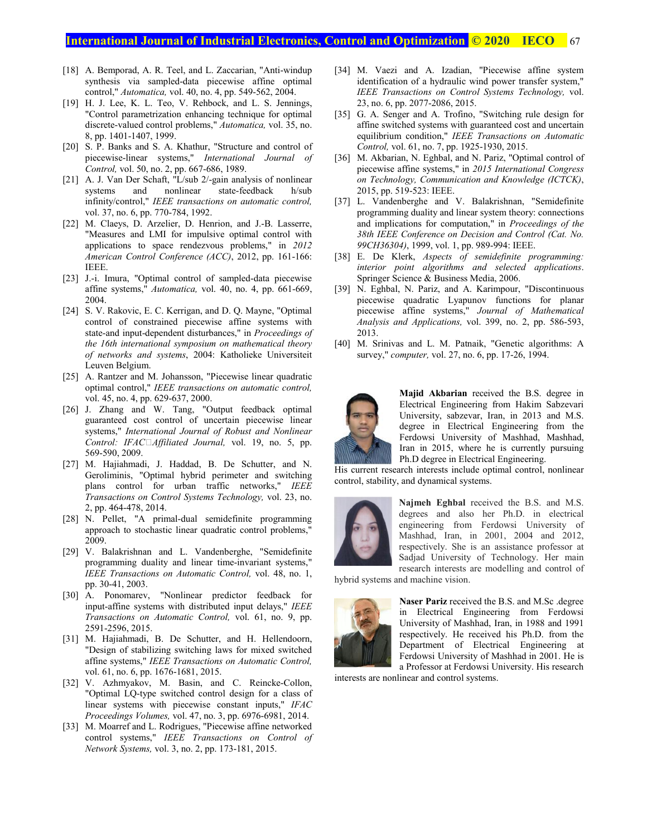# **International Journal of Industrial Electronics, Control and Optimization <b>© 2020** IECO 67

- [18] A. Bemporad, A. R. Teel, and L. Zaccarian, "Anti-windup synthesis via sampled-data piecewise affine optimal control," *Automatica,* vol. 40, no. 4, pp. 549-562, 2004.
- [19] H. J. Lee, K. L. Teo, V. Rehbock, and L. S. Jennings, "Control parametrization enhancing technique for optimal discrete-valued control problems," *Automatica,* vol. 35, no. 8, pp. 1401-1407, 1999.
- [20] S. P. Banks and S. A. Khathur, "Structure and control of piecewise-linear systems," *International Journal of Control,* vol. 50, no. 2, pp. 667-686, 1989.
- [21] A. J. Van Der Schaft, "L/sub 2/-gain analysis of nonlinear systems and nonlinear state-feedback h/sub infinity/control," *IEEE transactions on automatic control,*  vol. 37, no. 6, pp. 770-784, 1992.
- [22] M. Claeys, D. Arzelier, D. Henrion, and J.-B. Lasserre, "Measures and LMI for impulsive optimal control with applications to space rendezvous problems," in *2012 American Control Conference (ACC)*, 2012, pp. 161-166: IEEE.
- [23] J.-i. Imura, "Optimal control of sampled-data piecewise affine systems," *Automatica,* vol. 40, no. 4, pp. 661-669, 2004.
- [24] S. V. Rakovic, E. C. Kerrigan, and D. Q. Mayne, "Optimal control of constrained piecewise affine systems with state-and input-dependent disturbances," in *Proceedings of the 16th international symposium on mathematical theory of networks and systems*, 2004: Katholieke Universiteit Leuven Belgium.
- [25] A. Rantzer and M. Johansson, "Piecewise linear quadratic optimal control," *IEEE transactions on automatic control,*  vol. 45, no. 4, pp. 629-637, 2000.
- [26] J. Zhang and W. Tang, "Output feedback optimal guaranteed cost control of uncertain piecewise linear systems," *International Journal of Robust and Nonlinear Control: IFACAffiliated Journal,* vol. 19, no. 5, pp. 569-590, 2009.
- [27] M. Hajiahmadi, J. Haddad, B. De Schutter, and N. Geroliminis, "Optimal hybrid perimeter and switching plans control for urban traffic networks," *IEEE Transactions on Control Systems Technology,* vol. 23, no. 2, pp. 464-478, 2014.
- [28] N. Pellet, "A primal-dual semidefinite programming approach to stochastic linear quadratic control problems," 2009.
- [29] V. Balakrishnan and L. Vandenberghe, "Semidefinite programming duality and linear time-invariant systems," *IEEE Transactions on Automatic Control,* vol. 48, no. 1, pp. 30-41, 2003.
- [30] A. Ponomarev, "Nonlinear predictor feedback for input-affine systems with distributed input delays," *IEEE Transactions on Automatic Control,* vol. 61, no. 9, pp. 2591-2596, 2015.
- [31] M. Hajiahmadi, B. De Schutter, and H. Hellendoorn, "Design of stabilizing switching laws for mixed switched affine systems," *IEEE Transactions on Automatic Control,*  vol. 61, no. 6, pp. 1676-1681, 2015.
- [32] V. Azhmyakov, M. Basin, and C. Reincke-Collon, "Optimal LQ-type switched control design for a class of linear systems with piecewise constant inputs," *IFAC Proceedings Volumes,* vol. 47, no. 3, pp. 6976-6981, 2014.
- [33] M. Moarref and L. Rodrigues, "Piecewise affine networked control systems," *IEEE Transactions on Control of Network Systems,* vol. 3, no. 2, pp. 173-181, 2015.
- [34] M. Vaezi and A. Izadian, "Piecewise affine system identification of a hydraulic wind power transfer system," *IEEE Transactions on Control Systems Technology,* vol. 23, no. 6, pp. 2077-2086, 2015.
- [35] G. A. Senger and A. Trofino, "Switching rule design for affine switched systems with guaranteed cost and uncertain equilibrium condition," *IEEE Transactions on Automatic Control,* vol. 61, no. 7, pp. 1925-1930, 2015.
- [36] M. Akbarian, N. Eghbal, and N. Pariz, "Optimal control of piecewise affine systems," in *2015 International Congress on Technology, Communication and Knowledge (ICTCK)*, 2015, pp. 519-523: IEEE.
- [37] L. Vandenberghe and V. Balakrishnan, "Semidefinite programming duality and linear system theory: connections and implications for computation," in *Proceedings of the 38th IEEE Conference on Decision and Control (Cat. No. 99CH36304)*, 1999, vol. 1, pp. 989-994: IEEE.
- [38] E. De Klerk, *Aspects of semidefinite programming: interior point algorithms and selected applications*. Springer Science & Business Media, 2006.
- [39] N. Eghbal, N. Pariz, and A. Karimpour, "Discontinuous piecewise quadratic Lyapunov functions for planar piecewise affine systems," *Journal of Mathematical Analysis and Applications,* vol. 399, no. 2, pp. 586-593, 2013.
- [40] M. Srinivas and L. M. Patnaik, "Genetic algorithms: A survey," *computer,* vol. 27, no. 6, pp. 17-26, 1994.



**Majid Akbarian** received the B.S. degree in Electrical Engineering from Hakim Sabzevari University, sabzevar, Iran, in 2013 and M.S. degree in Electrical Engineering from the Ferdowsi University of Mashhad, Mashhad, Iran in 2015, where he is currently pursuing Ph.D degree in Electrical Engineering.

His current research interests include optimal control, nonlinear control, stability, and dynamical systems.



**Najmeh Eghbal** received the B.S. and M.S. degrees and also her Ph.D. in electrical engineering from Ferdowsi University of Mashhad, Iran, in 2001, 2004 and 2012, respectively. She is an assistance professor at Sadjad University of Technology. Her main research interests are modelling and control of

hybrid systems and machine vision.



**Naser Pariz** received the B.S. and M.Sc .degree in Electrical Engineering from Ferdowsi University of Mashhad, Iran, in 1988 and 1991 respectively. He received his Ph.D. from the Department of Electrical Engineering at Ferdowsi University of Mashhad in 2001. He is a Professor at Ferdowsi University. His research

interests are nonlinear and control systems.